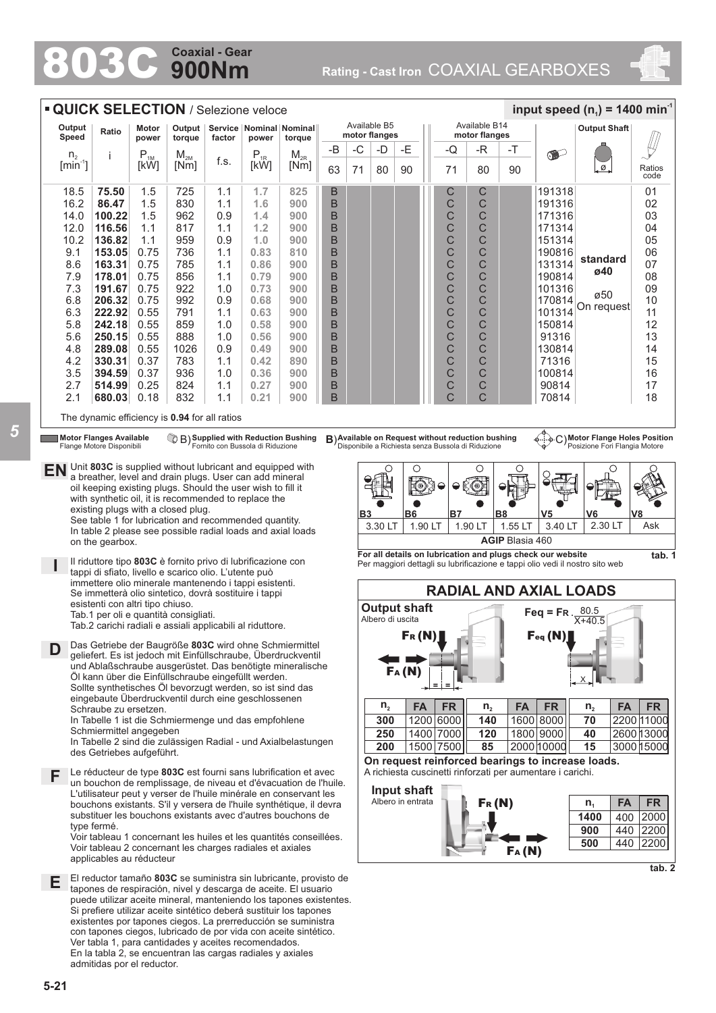## **900Nm Coaxial - Gear**

803C **Rating - Cast Iron** COAXIAL GEARBOXES